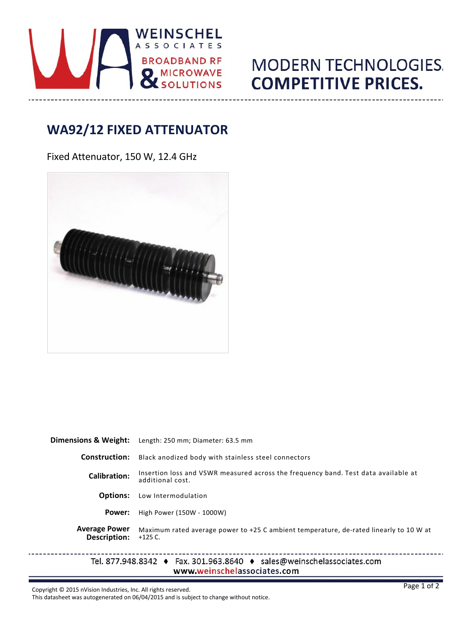

## **MODERN TECHNOLOGIES. COMPETITIVE PRICES.**

## **WA92/12 FIXED ATTENUATOR**

Fixed Attenuator, 150 W, 12.4 GHz



| Dimensions & Weight:                 | Length: 250 mm; Diameter: 63.5 mm                                                                                    |
|--------------------------------------|----------------------------------------------------------------------------------------------------------------------|
| <b>Construction:</b>                 | Black anodized body with stainless steel connectors                                                                  |
| <b>Calibration:</b>                  | Insertion loss and VSWR measured across the frequency band. Test data available at<br>additional cost.               |
| <b>Options:</b>                      | Low Intermodulation                                                                                                  |
| Power:                               | High Power (150W - 1000W)                                                                                            |
| <b>Average Power</b><br>Description: | Maximum rated average power to +25 C ambient temperature, de-rated linearly to 10 W at<br>$+125$ C.                  |
|                                      | Tel. 877.948.8342 $\bullet$ Fax. 301.963.8640 $\bullet$ sales@weinschelassociates.com<br>www.weinschelassociates.com |

Copyright © 2015 nVision Industries, Inc. All rights reserved.

 $- - - -$ 

This datasheet was autogenerated on 06/04/2015 and is subject to change without notice.